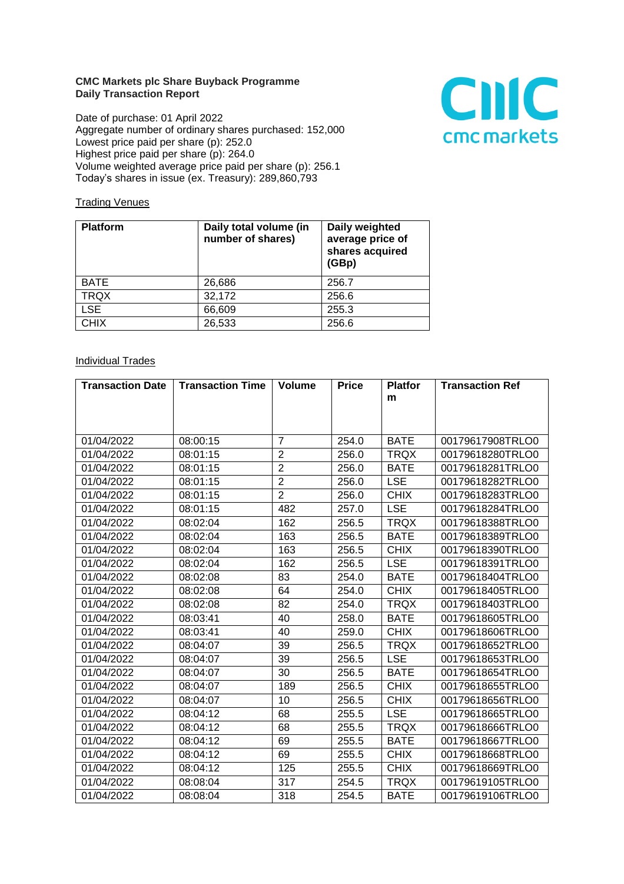## **CMC Markets plc Share Buyback Programme Daily Transaction Report**

Date of purchase: 01 April 2022 Aggregate number of ordinary shares purchased: 152,000 Lowest price paid per share (p): 252.0 Highest price paid per share (p): 264.0 Volume weighted average price paid per share (p): 256.1 Today's shares in issue (ex. Treasury): 289,860,793



## **Trading Venues**

| <b>Platform</b> | Daily total volume (in<br>number of shares) | Daily weighted<br>average price of<br>shares acquired<br>(GBp) |
|-----------------|---------------------------------------------|----------------------------------------------------------------|
| <b>BATE</b>     | 26,686                                      | 256.7                                                          |
| <b>TRQX</b>     | 32,172                                      | 256.6                                                          |
| <b>LSE</b>      | 66,609                                      | 255.3                                                          |
| <b>CHIX</b>     | 26,533                                      | 256.6                                                          |

## **Individual Trades**

| <b>Transaction Date</b> | <b>Transaction Time</b> | <b>Volume</b>  | <b>Price</b> | <b>Platfor</b> | <b>Transaction Ref</b> |
|-------------------------|-------------------------|----------------|--------------|----------------|------------------------|
|                         |                         |                |              | m              |                        |
|                         |                         |                |              |                |                        |
|                         |                         |                |              |                |                        |
| 01/04/2022              | 08:00:15                | $\overline{7}$ | 254.0        | <b>BATE</b>    | 00179617908TRLO0       |
| 01/04/2022              | 08:01:15                | $\overline{2}$ | 256.0        | <b>TRQX</b>    | 00179618280TRLO0       |
| 01/04/2022              | 08:01:15                | $\overline{2}$ | 256.0        | <b>BATE</b>    | 00179618281TRLO0       |
| 01/04/2022              | 08:01:15                | $\overline{2}$ | 256.0        | <b>LSE</b>     | 00179618282TRLO0       |
| 01/04/2022              | 08:01:15                | $\overline{2}$ | 256.0        | <b>CHIX</b>    | 00179618283TRLO0       |
| 01/04/2022              | 08:01:15                | 482            | 257.0        | <b>LSE</b>     | 00179618284TRLO0       |
| 01/04/2022              | 08:02:04                | 162            | 256.5        | <b>TRQX</b>    | 00179618388TRLO0       |
| 01/04/2022              | 08:02:04                | 163            | 256.5        | <b>BATE</b>    | 00179618389TRLO0       |
| 01/04/2022              | 08:02:04                | 163            | 256.5        | <b>CHIX</b>    | 00179618390TRLO0       |
| 01/04/2022              | 08:02:04                | 162            | 256.5        | <b>LSE</b>     | 00179618391TRLO0       |
| 01/04/2022              | 08:02:08                | 83             | 254.0        | <b>BATE</b>    | 00179618404TRLO0       |
| 01/04/2022              | 08:02:08                | 64             | 254.0        | <b>CHIX</b>    | 00179618405TRLO0       |
| 01/04/2022              | 08:02:08                | 82             | 254.0        | <b>TRQX</b>    | 00179618403TRLO0       |
| 01/04/2022              | 08:03:41                | 40             | 258.0        | <b>BATE</b>    | 00179618605TRLO0       |
| 01/04/2022              | 08:03:41                | 40             | 259.0        | <b>CHIX</b>    | 00179618606TRLO0       |
| 01/04/2022              | 08:04:07                | 39             | 256.5        | <b>TRQX</b>    | 00179618652TRLO0       |
| 01/04/2022              | 08:04:07                | 39             | 256.5        | <b>LSE</b>     | 00179618653TRLO0       |
| 01/04/2022              | 08:04:07                | 30             | 256.5        | <b>BATE</b>    | 00179618654TRLO0       |
| 01/04/2022              | 08:04:07                | 189            | 256.5        | <b>CHIX</b>    | 00179618655TRLO0       |
| 01/04/2022              | 08:04:07                | 10             | 256.5        | <b>CHIX</b>    | 00179618656TRLO0       |
| 01/04/2022              | 08:04:12                | 68             | 255.5        | <b>LSE</b>     | 00179618665TRLO0       |
| 01/04/2022              | 08:04:12                | 68             | 255.5        | <b>TRQX</b>    | 00179618666TRLO0       |
| 01/04/2022              | 08:04:12                | 69             | 255.5        | <b>BATE</b>    | 00179618667TRLO0       |
| 01/04/2022              | 08:04:12                | 69             | 255.5        | <b>CHIX</b>    | 00179618668TRLO0       |
| 01/04/2022              | 08:04:12                | 125            | 255.5        | <b>CHIX</b>    | 00179618669TRLO0       |
| 01/04/2022              | 08:08:04                | 317            | 254.5        | <b>TRQX</b>    | 00179619105TRLO0       |
| 01/04/2022              | 08:08:04                | 318            | 254.5        | <b>BATE</b>    | 00179619106TRLO0       |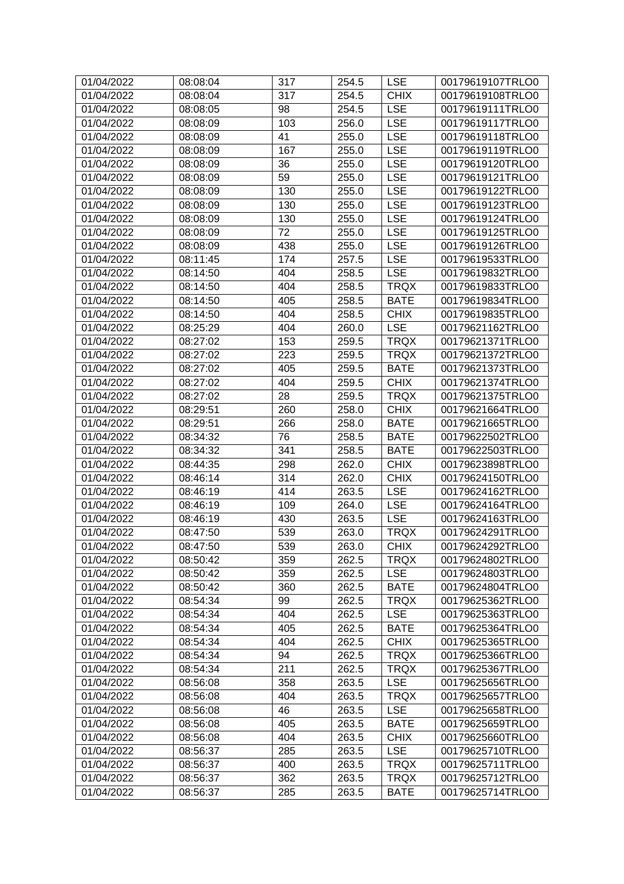| 01/04/2022 | 08:08:04 | 317 | 254.5 | <b>LSE</b>  | 00179619107TRLO0 |
|------------|----------|-----|-------|-------------|------------------|
| 01/04/2022 | 08:08:04 | 317 | 254.5 | <b>CHIX</b> | 00179619108TRLO0 |
| 01/04/2022 | 08:08:05 | 98  | 254.5 | <b>LSE</b>  | 00179619111TRLO0 |
| 01/04/2022 | 08:08:09 | 103 | 256.0 | <b>LSE</b>  | 00179619117TRLO0 |
| 01/04/2022 | 08:08:09 | 41  | 255.0 | <b>LSE</b>  | 00179619118TRLO0 |
| 01/04/2022 | 08:08:09 | 167 | 255.0 | <b>LSE</b>  | 00179619119TRLO0 |
| 01/04/2022 | 08:08:09 | 36  | 255.0 | <b>LSE</b>  | 00179619120TRLO0 |
| 01/04/2022 | 08:08:09 | 59  | 255.0 | <b>LSE</b>  | 00179619121TRLO0 |
| 01/04/2022 | 08:08:09 | 130 | 255.0 | <b>LSE</b>  | 00179619122TRLO0 |
| 01/04/2022 | 08:08:09 | 130 | 255.0 | <b>LSE</b>  | 00179619123TRLO0 |
| 01/04/2022 | 08:08:09 | 130 | 255.0 | <b>LSE</b>  | 00179619124TRLO0 |
| 01/04/2022 | 08:08:09 | 72  | 255.0 | <b>LSE</b>  | 00179619125TRLO0 |
| 01/04/2022 | 08:08:09 | 438 | 255.0 | <b>LSE</b>  | 00179619126TRLO0 |
| 01/04/2022 | 08:11:45 | 174 | 257.5 | <b>LSE</b>  | 00179619533TRLO0 |
| 01/04/2022 | 08:14:50 | 404 | 258.5 | <b>LSE</b>  | 00179619832TRLO0 |
| 01/04/2022 | 08:14:50 | 404 | 258.5 | <b>TRQX</b> | 00179619833TRLO0 |
| 01/04/2022 | 08:14:50 | 405 | 258.5 | <b>BATE</b> | 00179619834TRLO0 |
| 01/04/2022 | 08:14:50 | 404 | 258.5 | <b>CHIX</b> | 00179619835TRLO0 |
| 01/04/2022 | 08:25:29 | 404 | 260.0 | <b>LSE</b>  | 00179621162TRLO0 |
| 01/04/2022 | 08:27:02 | 153 | 259.5 | <b>TRQX</b> | 00179621371TRLO0 |
| 01/04/2022 | 08:27:02 | 223 | 259.5 | <b>TRQX</b> | 00179621372TRLO0 |
| 01/04/2022 | 08:27:02 | 405 | 259.5 | <b>BATE</b> | 00179621373TRLO0 |
| 01/04/2022 | 08:27:02 | 404 | 259.5 | <b>CHIX</b> | 00179621374TRLO0 |
| 01/04/2022 | 08:27:02 | 28  | 259.5 | <b>TRQX</b> | 00179621375TRLO0 |
| 01/04/2022 | 08:29:51 | 260 | 258.0 | <b>CHIX</b> | 00179621664TRLO0 |
| 01/04/2022 | 08:29:51 | 266 | 258.0 | <b>BATE</b> | 00179621665TRLO0 |
| 01/04/2022 | 08:34:32 | 76  | 258.5 | <b>BATE</b> | 00179622502TRLO0 |
| 01/04/2022 | 08:34:32 | 341 | 258.5 | <b>BATE</b> | 00179622503TRLO0 |
| 01/04/2022 | 08:44:35 | 298 | 262.0 | <b>CHIX</b> | 00179623898TRLO0 |
| 01/04/2022 | 08:46:14 | 314 | 262.0 | <b>CHIX</b> | 00179624150TRLO0 |
| 01/04/2022 | 08:46:19 | 414 | 263.5 | <b>LSE</b>  | 00179624162TRLO0 |
| 01/04/2022 | 08:46:19 | 109 | 264.0 | <b>LSE</b>  | 00179624164TRLO0 |
| 01/04/2022 | 08:46:19 | 430 | 263.5 | <b>LSE</b>  | 00179624163TRLO0 |
| 01/04/2022 | 08:47:50 | 539 | 263.0 | <b>TRQX</b> | 00179624291TRLO0 |
| 01/04/2022 | 08:47:50 | 539 | 263.0 | <b>CHIX</b> | 00179624292TRLO0 |
| 01/04/2022 | 08:50:42 | 359 | 262.5 | <b>TRQX</b> | 00179624802TRLO0 |
| 01/04/2022 | 08:50:42 | 359 | 262.5 | <b>LSE</b>  | 00179624803TRLO0 |
| 01/04/2022 | 08:50:42 | 360 | 262.5 | <b>BATE</b> | 00179624804TRLO0 |
| 01/04/2022 | 08:54:34 | 99  | 262.5 | <b>TRQX</b> | 00179625362TRLO0 |
| 01/04/2022 | 08:54:34 | 404 | 262.5 | <b>LSE</b>  | 00179625363TRLO0 |
| 01/04/2022 | 08:54:34 | 405 | 262.5 | <b>BATE</b> | 00179625364TRLO0 |
| 01/04/2022 | 08:54:34 | 404 | 262.5 | <b>CHIX</b> | 00179625365TRLO0 |
| 01/04/2022 | 08:54:34 | 94  | 262.5 | <b>TRQX</b> | 00179625366TRLO0 |
| 01/04/2022 | 08:54:34 | 211 | 262.5 | <b>TRQX</b> | 00179625367TRLO0 |
| 01/04/2022 | 08:56:08 | 358 | 263.5 | <b>LSE</b>  | 00179625656TRLO0 |
| 01/04/2022 | 08:56:08 | 404 | 263.5 | <b>TRQX</b> | 00179625657TRLO0 |
| 01/04/2022 | 08:56:08 | 46  | 263.5 | <b>LSE</b>  | 00179625658TRLO0 |
| 01/04/2022 | 08:56:08 | 405 | 263.5 | <b>BATE</b> | 00179625659TRLO0 |
| 01/04/2022 | 08:56:08 | 404 | 263.5 | <b>CHIX</b> | 00179625660TRLO0 |
| 01/04/2022 | 08:56:37 | 285 | 263.5 | <b>LSE</b>  | 00179625710TRLO0 |
| 01/04/2022 | 08:56:37 | 400 | 263.5 | <b>TRQX</b> | 00179625711TRLO0 |
| 01/04/2022 | 08:56:37 | 362 | 263.5 | <b>TRQX</b> | 00179625712TRLO0 |
| 01/04/2022 | 08:56:37 | 285 | 263.5 | <b>BATE</b> | 00179625714TRLO0 |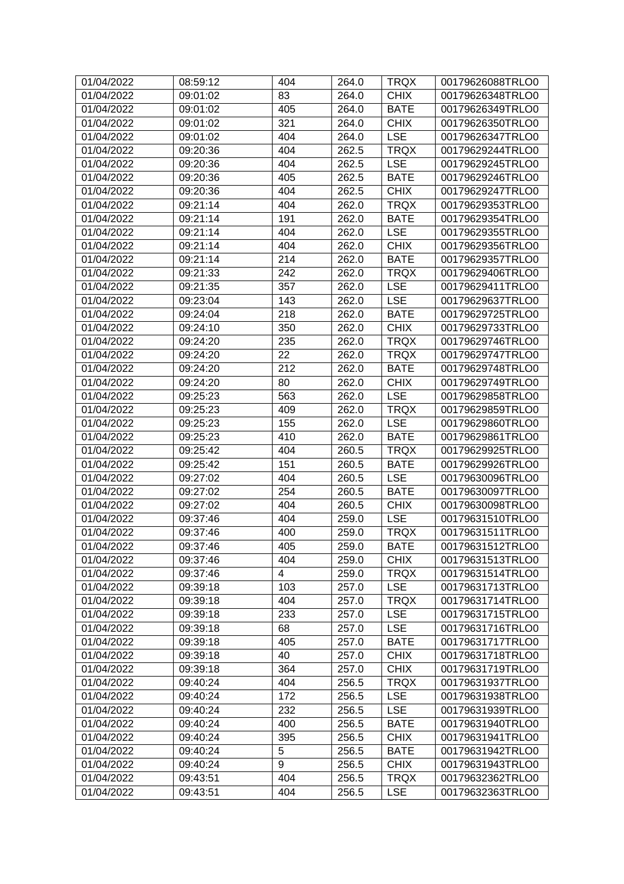| 01/04/2022 | 08:59:12 | 404            | 264.0 | <b>TRQX</b> | 00179626088TRLO0 |
|------------|----------|----------------|-------|-------------|------------------|
| 01/04/2022 | 09:01:02 | 83             | 264.0 | <b>CHIX</b> | 00179626348TRLO0 |
| 01/04/2022 | 09:01:02 | 405            | 264.0 | <b>BATE</b> | 00179626349TRLO0 |
| 01/04/2022 | 09:01:02 | 321            | 264.0 | <b>CHIX</b> | 00179626350TRLO0 |
| 01/04/2022 | 09:01:02 | 404            | 264.0 | <b>LSE</b>  | 00179626347TRLO0 |
| 01/04/2022 | 09:20:36 | 404            | 262.5 | <b>TRQX</b> | 00179629244TRLO0 |
| 01/04/2022 | 09:20:36 | 404            | 262.5 | <b>LSE</b>  | 00179629245TRLO0 |
| 01/04/2022 | 09:20:36 | 405            | 262.5 | <b>BATE</b> | 00179629246TRLO0 |
| 01/04/2022 | 09:20:36 | 404            | 262.5 | <b>CHIX</b> | 00179629247TRLO0 |
| 01/04/2022 | 09:21:14 | 404            | 262.0 | <b>TRQX</b> | 00179629353TRLO0 |
| 01/04/2022 | 09:21:14 | 191            | 262.0 | <b>BATE</b> | 00179629354TRLO0 |
| 01/04/2022 | 09:21:14 | 404            | 262.0 | <b>LSE</b>  | 00179629355TRLO0 |
| 01/04/2022 | 09:21:14 | 404            | 262.0 | <b>CHIX</b> | 00179629356TRLO0 |
| 01/04/2022 | 09:21:14 | 214            | 262.0 | <b>BATE</b> | 00179629357TRLO0 |
| 01/04/2022 | 09:21:33 | 242            | 262.0 | <b>TRQX</b> | 00179629406TRLO0 |
| 01/04/2022 | 09:21:35 | 357            | 262.0 | <b>LSE</b>  | 00179629411TRLO0 |
| 01/04/2022 | 09:23:04 | 143            | 262.0 | <b>LSE</b>  | 00179629637TRLO0 |
| 01/04/2022 | 09:24:04 | 218            | 262.0 | <b>BATE</b> | 00179629725TRLO0 |
| 01/04/2022 | 09:24:10 | 350            | 262.0 | <b>CHIX</b> | 00179629733TRLO0 |
| 01/04/2022 | 09:24:20 | 235            | 262.0 | <b>TRQX</b> | 00179629746TRLO0 |
| 01/04/2022 | 09:24:20 | 22             | 262.0 | <b>TRQX</b> | 00179629747TRLO0 |
| 01/04/2022 | 09:24:20 | 212            | 262.0 | <b>BATE</b> | 00179629748TRLO0 |
| 01/04/2022 | 09:24:20 | 80             | 262.0 | <b>CHIX</b> | 00179629749TRLO0 |
| 01/04/2022 | 09:25:23 | 563            | 262.0 | <b>LSE</b>  | 00179629858TRLO0 |
| 01/04/2022 | 09:25:23 | 409            | 262.0 | <b>TRQX</b> | 00179629859TRLO0 |
| 01/04/2022 | 09:25:23 | 155            | 262.0 | <b>LSE</b>  | 00179629860TRLO0 |
| 01/04/2022 | 09:25:23 | 410            | 262.0 | <b>BATE</b> | 00179629861TRLO0 |
| 01/04/2022 | 09:25:42 | 404            | 260.5 | <b>TRQX</b> | 00179629925TRLO0 |
| 01/04/2022 | 09:25:42 | 151            | 260.5 | <b>BATE</b> | 00179629926TRLO0 |
| 01/04/2022 | 09:27:02 | 404            | 260.5 | <b>LSE</b>  | 00179630096TRLO0 |
| 01/04/2022 | 09:27:02 | 254            | 260.5 | <b>BATE</b> | 00179630097TRLO0 |
| 01/04/2022 | 09:27:02 | 404            | 260.5 | <b>CHIX</b> | 00179630098TRLO0 |
| 01/04/2022 | 09:37:46 | 404            | 259.0 | <b>LSE</b>  | 00179631510TRLO0 |
| 01/04/2022 | 09:37:46 | 400            | 259.0 | <b>TRQX</b> | 00179631511TRLO0 |
| 01/04/2022 | 09:37:46 | 405            | 259.0 | <b>BATE</b> | 00179631512TRLO0 |
| 01/04/2022 | 09:37:46 | 404            | 259.0 | <b>CHIX</b> | 00179631513TRLO0 |
| 01/04/2022 | 09:37:46 | $\overline{4}$ | 259.0 | <b>TRQX</b> | 00179631514TRLO0 |
| 01/04/2022 | 09:39:18 | 103            | 257.0 | <b>LSE</b>  | 00179631713TRLO0 |
| 01/04/2022 | 09:39:18 | 404            | 257.0 | <b>TRQX</b> | 00179631714TRLO0 |
| 01/04/2022 | 09:39:18 | 233            | 257.0 | <b>LSE</b>  | 00179631715TRLO0 |
| 01/04/2022 | 09:39:18 | 68             | 257.0 | <b>LSE</b>  | 00179631716TRLO0 |
| 01/04/2022 | 09:39:18 | 405            | 257.0 | <b>BATE</b> | 00179631717TRLO0 |
| 01/04/2022 | 09:39:18 | 40             | 257.0 | <b>CHIX</b> | 00179631718TRLO0 |
| 01/04/2022 | 09:39:18 | 364            | 257.0 | <b>CHIX</b> | 00179631719TRLO0 |
| 01/04/2022 | 09:40:24 | 404            | 256.5 | <b>TRQX</b> | 00179631937TRLO0 |
| 01/04/2022 | 09:40:24 | 172            |       | <b>LSE</b>  | 00179631938TRLO0 |
|            |          |                | 256.5 |             |                  |
| 01/04/2022 | 09:40:24 | 232            | 256.5 | <b>LSE</b>  | 00179631939TRLO0 |
| 01/04/2022 | 09:40:24 | 400            | 256.5 | <b>BATE</b> | 00179631940TRLO0 |
| 01/04/2022 | 09:40:24 | 395            | 256.5 | <b>CHIX</b> | 00179631941TRLO0 |
| 01/04/2022 | 09:40:24 | $\overline{5}$ | 256.5 | <b>BATE</b> | 00179631942TRLO0 |
| 01/04/2022 | 09:40:24 | 9              | 256.5 | <b>CHIX</b> | 00179631943TRLO0 |
| 01/04/2022 | 09:43:51 | 404            | 256.5 | <b>TRQX</b> | 00179632362TRLO0 |
| 01/04/2022 | 09:43:51 | 404            | 256.5 | <b>LSE</b>  | 00179632363TRLO0 |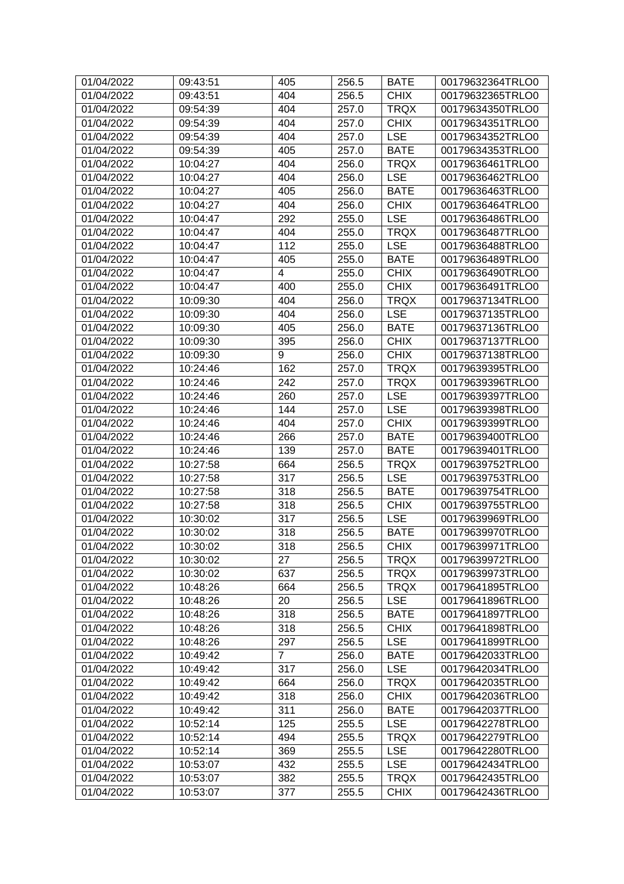| 01/04/2022               | 09:43:51             | 405            | 256.5          | <b>BATE</b>              | 00179632364TRLO0                     |
|--------------------------|----------------------|----------------|----------------|--------------------------|--------------------------------------|
| 01/04/2022               | 09:43:51             | 404            | 256.5          | <b>CHIX</b>              | 00179632365TRLO0                     |
| 01/04/2022               | 09:54:39             | 404            | 257.0          | <b>TRQX</b>              | 00179634350TRLO0                     |
| 01/04/2022               | 09:54:39             | 404            | 257.0          | <b>CHIX</b>              | 00179634351TRLO0                     |
| 01/04/2022               | 09:54:39             | 404            | 257.0          | <b>LSE</b>               | 00179634352TRLO0                     |
| 01/04/2022               | 09:54:39             | 405            | 257.0          | <b>BATE</b>              | 00179634353TRLO0                     |
| 01/04/2022               | 10:04:27             | 404            | 256.0          | <b>TRQX</b>              | 00179636461TRLO0                     |
| 01/04/2022               | 10:04:27             | 404            | 256.0          | <b>LSE</b>               | 00179636462TRLO0                     |
| 01/04/2022               | 10:04:27             | 405            | 256.0          | <b>BATE</b>              | 00179636463TRLO0                     |
| 01/04/2022               | 10:04:27             | 404            | 256.0          | <b>CHIX</b>              | 00179636464TRLO0                     |
| 01/04/2022               | 10:04:47             | 292            | 255.0          | <b>LSE</b>               | 00179636486TRLO0                     |
| 01/04/2022               | 10:04:47             | 404            | 255.0          | <b>TRQX</b>              | 00179636487TRLO0                     |
| 01/04/2022               | 10:04:47             | 112            | 255.0          | <b>LSE</b>               | 00179636488TRLO0                     |
| 01/04/2022               | 10:04:47             | 405            | 255.0          | <b>BATE</b>              | 00179636489TRLO0                     |
| 01/04/2022               | 10:04:47             | 4              | 255.0          | <b>CHIX</b>              | 00179636490TRLO0                     |
| 01/04/2022               | 10:04:47             | 400            | 255.0          | <b>CHIX</b>              | 00179636491TRLO0                     |
| 01/04/2022               | 10:09:30             | 404            | 256.0          | <b>TRQX</b>              | 00179637134TRLO0                     |
| 01/04/2022               | 10:09:30             | 404            | 256.0          | <b>LSE</b>               | 00179637135TRLO0                     |
| 01/04/2022               | 10:09:30             | 405            | 256.0          | <b>BATE</b>              | 00179637136TRLO0                     |
| 01/04/2022               | 10:09:30             | 395            | 256.0          | <b>CHIX</b>              | 00179637137TRLO0                     |
| 01/04/2022               | 10:09:30             | 9              | 256.0          | <b>CHIX</b>              | 00179637138TRLO0                     |
| 01/04/2022               | 10:24:46             | 162            | 257.0          | <b>TRQX</b>              | 00179639395TRLO0                     |
| 01/04/2022               | 10:24:46             | 242            | 257.0          | <b>TRQX</b>              | 00179639396TRLO0                     |
| 01/04/2022               | 10:24:46             | 260            | 257.0          | <b>LSE</b>               | 00179639397TRLO0                     |
| 01/04/2022               | 10:24:46             | 144            | 257.0          | <b>LSE</b>               | 00179639398TRLO0                     |
| 01/04/2022               | 10:24:46             | 404            | 257.0          | <b>CHIX</b>              | 00179639399TRLO0                     |
| 01/04/2022               | 10:24:46             | 266            | 257.0          | <b>BATE</b>              | 00179639400TRLO0                     |
| 01/04/2022               | 10:24:46             | 139            | 257.0          | <b>BATE</b>              | 00179639401TRLO0                     |
| 01/04/2022               | 10:27:58             | 664            | 256.5          | <b>TRQX</b>              | 00179639752TRLO0                     |
| 01/04/2022               | 10:27:58             | 317            | 256.5          | <b>LSE</b>               | 00179639753TRLO0                     |
| 01/04/2022               | 10:27:58             | 318            | 256.5          | <b>BATE</b>              | 00179639754TRLO0                     |
| 01/04/2022               | 10:27:58             | 318            | 256.5          | <b>CHIX</b>              | 00179639755TRLO0                     |
| 01/04/2022               | 10:30:02             | 317            | 256.5          | <b>LSE</b>               | 00179639969TRLO0                     |
| 01/04/2022               | 10:30:02             | 318            | 256.5          | <b>BATE</b>              | 00179639970TRLO0                     |
| 01/04/2022               | 10:30:02             | 318            | 256.5          | <b>CHIX</b>              | 00179639971TRLO0                     |
| 01/04/2022               | 10:30:02             | 27             | 256.5          | <b>TRQX</b>              | 00179639972TRLO0                     |
| 01/04/2022               | 10:30:02             | 637            | 256.5          | <b>TRQX</b>              | 00179639973TRLO0                     |
| 01/04/2022               | 10:48:26             | 664            | 256.5          | <b>TRQX</b>              | 00179641895TRLO0                     |
| 01/04/2022               |                      | 20             |                | <b>LSE</b>               |                                      |
| 01/04/2022               | 10:48:26<br>10:48:26 | 318            | 256.5<br>256.5 | <b>BATE</b>              | 00179641896TRLO0<br>00179641897TRLO0 |
| 01/04/2022               |                      | 318            |                | <b>CHIX</b>              |                                      |
| 01/04/2022               | 10:48:26<br>10:48:26 | 297            | 256.5<br>256.5 | <b>LSE</b>               | 00179641898TRLO0<br>00179641899TRLO0 |
|                          |                      | $\overline{7}$ |                |                          | 00179642033TRLO0                     |
| 01/04/2022<br>01/04/2022 | 10:49:42             |                | 256.0          | <b>BATE</b>              | 00179642034TRLO0                     |
|                          | 10:49:42             | 317            | 256.0          | <b>LSE</b>               |                                      |
| 01/04/2022               | 10:49:42             | 664            | 256.0          | <b>TRQX</b>              | 00179642035TRLO0                     |
| 01/04/2022               | 10:49:42             | 318            | 256.0          | <b>CHIX</b>              | 00179642036TRLO0                     |
| 01/04/2022               | 10:49:42             | 311            | 256.0          | <b>BATE</b>              | 00179642037TRLO0                     |
| 01/04/2022               | 10:52:14             | 125            | 255.5          | <b>LSE</b>               | 00179642278TRLO0                     |
| 01/04/2022               | 10:52:14             | 494            | 255.5          | <b>TRQX</b>              | 00179642279TRLO0                     |
| 01/04/2022<br>01/04/2022 | 10:52:14<br>10:53:07 | 369<br>432     | 255.5<br>255.5 | <b>LSE</b><br><b>LSE</b> | 00179642280TRLO0<br>00179642434TRLO0 |
|                          |                      |                |                |                          |                                      |
| 01/04/2022               | 10:53:07             | 382            | 255.5          | <b>TRQX</b>              | 00179642435TRLO0                     |
| 01/04/2022               | 10:53:07             | 377            | 255.5          | <b>CHIX</b>              | 00179642436TRLO0                     |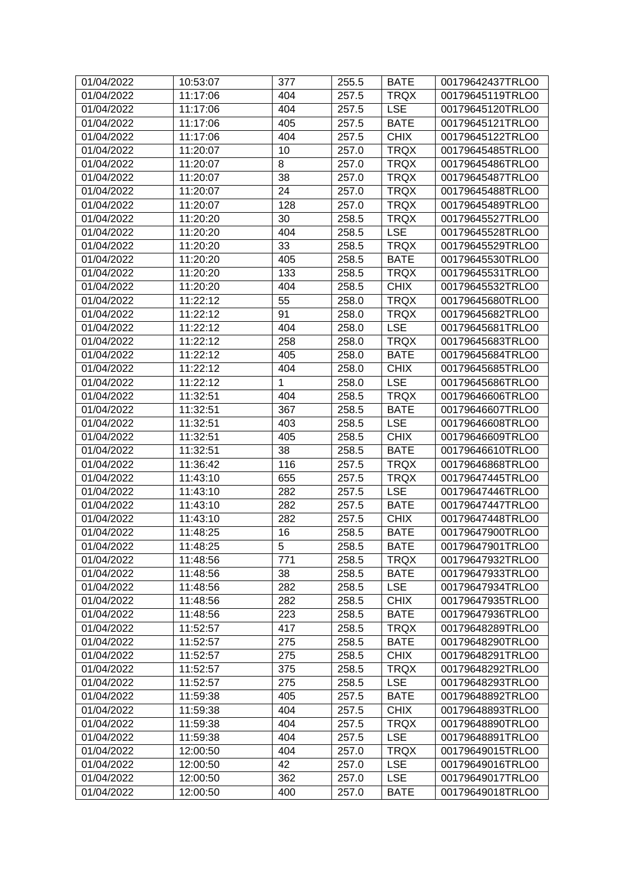| 01/04/2022 | 10:53:07 | 377            | 255.5 | <b>BATE</b> | 00179642437TRLO0 |
|------------|----------|----------------|-------|-------------|------------------|
| 01/04/2022 | 11:17:06 | 404            | 257.5 | <b>TRQX</b> | 00179645119TRLO0 |
| 01/04/2022 | 11:17:06 | 404            | 257.5 | <b>LSE</b>  | 00179645120TRLO0 |
| 01/04/2022 | 11:17:06 | 405            | 257.5 | <b>BATE</b> | 00179645121TRLO0 |
| 01/04/2022 | 11:17:06 | 404            | 257.5 | <b>CHIX</b> | 00179645122TRLO0 |
| 01/04/2022 | 11:20:07 | 10             | 257.0 | <b>TRQX</b> | 00179645485TRLO0 |
| 01/04/2022 | 11:20:07 | 8              | 257.0 | <b>TRQX</b> | 00179645486TRLO0 |
| 01/04/2022 | 11:20:07 | 38             | 257.0 | <b>TRQX</b> | 00179645487TRLO0 |
| 01/04/2022 | 11:20:07 | 24             | 257.0 | <b>TRQX</b> | 00179645488TRLO0 |
| 01/04/2022 | 11:20:07 | 128            | 257.0 | <b>TRQX</b> | 00179645489TRLO0 |
| 01/04/2022 | 11:20:20 | 30             | 258.5 | <b>TRQX</b> | 00179645527TRLO0 |
| 01/04/2022 | 11:20:20 | 404            | 258.5 | <b>LSE</b>  | 00179645528TRLO0 |
| 01/04/2022 | 11:20:20 | 33             | 258.5 | <b>TRQX</b> | 00179645529TRLO0 |
| 01/04/2022 | 11:20:20 | 405            | 258.5 | <b>BATE</b> | 00179645530TRLO0 |
| 01/04/2022 | 11:20:20 | 133            | 258.5 | <b>TRQX</b> | 00179645531TRLO0 |
| 01/04/2022 | 11:20:20 | 404            | 258.5 | <b>CHIX</b> | 00179645532TRLO0 |
| 01/04/2022 | 11:22:12 | 55             | 258.0 | <b>TRQX</b> | 00179645680TRLO0 |
| 01/04/2022 | 11:22:12 | 91             | 258.0 | <b>TRQX</b> | 00179645682TRLO0 |
| 01/04/2022 | 11:22:12 | 404            | 258.0 | <b>LSE</b>  | 00179645681TRLO0 |
| 01/04/2022 | 11:22:12 | 258            | 258.0 | <b>TRQX</b> | 00179645683TRLO0 |
| 01/04/2022 | 11:22:12 | 405            | 258.0 | <b>BATE</b> | 00179645684TRLO0 |
| 01/04/2022 | 11:22:12 | 404            | 258.0 | <b>CHIX</b> | 00179645685TRLO0 |
| 01/04/2022 | 11:22:12 | 1              | 258.0 | <b>LSE</b>  | 00179645686TRLO0 |
| 01/04/2022 | 11:32:51 | 404            | 258.5 | <b>TRQX</b> | 00179646606TRLO0 |
| 01/04/2022 | 11:32:51 | 367            | 258.5 | <b>BATE</b> | 00179646607TRLO0 |
| 01/04/2022 | 11:32:51 | 403            | 258.5 | <b>LSE</b>  | 00179646608TRLO0 |
| 01/04/2022 | 11:32:51 | 405            | 258.5 | <b>CHIX</b> | 00179646609TRLO0 |
| 01/04/2022 | 11:32:51 | 38             | 258.5 | <b>BATE</b> | 00179646610TRLO0 |
| 01/04/2022 | 11:36:42 | 116            | 257.5 | <b>TRQX</b> | 00179646868TRLO0 |
| 01/04/2022 | 11:43:10 | 655            | 257.5 | <b>TRQX</b> | 00179647445TRLO0 |
| 01/04/2022 | 11:43:10 | 282            | 257.5 | <b>LSE</b>  | 00179647446TRLO0 |
| 01/04/2022 | 11:43:10 | 282            | 257.5 | <b>BATE</b> | 00179647447TRLO0 |
| 01/04/2022 | 11:43:10 | 282            | 257.5 | <b>CHIX</b> | 00179647448TRLO0 |
| 01/04/2022 | 11:48:25 | 16             | 258.5 | <b>BATE</b> | 00179647900TRLO0 |
| 01/04/2022 | 11:48:25 | $\overline{5}$ | 258.5 | <b>BATE</b> | 00179647901TRLO0 |
| 01/04/2022 | 11:48:56 | 771            | 258.5 | <b>TRQX</b> | 00179647932TRLO0 |
| 01/04/2022 | 11:48:56 | 38             | 258.5 | <b>BATE</b> | 00179647933TRLO0 |
| 01/04/2022 | 11:48:56 | 282            | 258.5 | <b>LSE</b>  | 00179647934TRLO0 |
| 01/04/2022 | 11:48:56 | 282            | 258.5 | <b>CHIX</b> | 00179647935TRLO0 |
| 01/04/2022 | 11:48:56 | 223            | 258.5 | <b>BATE</b> | 00179647936TRLO0 |
| 01/04/2022 | 11:52:57 | 417            | 258.5 | <b>TRQX</b> | 00179648289TRLO0 |
| 01/04/2022 | 11:52:57 | 275            | 258.5 | <b>BATE</b> | 00179648290TRLO0 |
| 01/04/2022 | 11:52:57 | 275            | 258.5 | <b>CHIX</b> | 00179648291TRLO0 |
| 01/04/2022 | 11:52:57 | 375            | 258.5 | <b>TRQX</b> | 00179648292TRLO0 |
| 01/04/2022 | 11:52:57 | 275            | 258.5 | <b>LSE</b>  | 00179648293TRLO0 |
| 01/04/2022 | 11:59:38 | 405            | 257.5 | <b>BATE</b> | 00179648892TRLO0 |
| 01/04/2022 | 11:59:38 | 404            | 257.5 | <b>CHIX</b> | 00179648893TRLO0 |
| 01/04/2022 | 11:59:38 | 404            | 257.5 | <b>TRQX</b> | 00179648890TRLO0 |
| 01/04/2022 | 11:59:38 | 404            | 257.5 | <b>LSE</b>  | 00179648891TRLO0 |
| 01/04/2022 | 12:00:50 | 404            | 257.0 | <b>TRQX</b> | 00179649015TRLO0 |
| 01/04/2022 | 12:00:50 | 42             | 257.0 | <b>LSE</b>  | 00179649016TRLO0 |
| 01/04/2022 | 12:00:50 | 362            | 257.0 | <b>LSE</b>  | 00179649017TRLO0 |
| 01/04/2022 | 12:00:50 | 400            | 257.0 | <b>BATE</b> | 00179649018TRLO0 |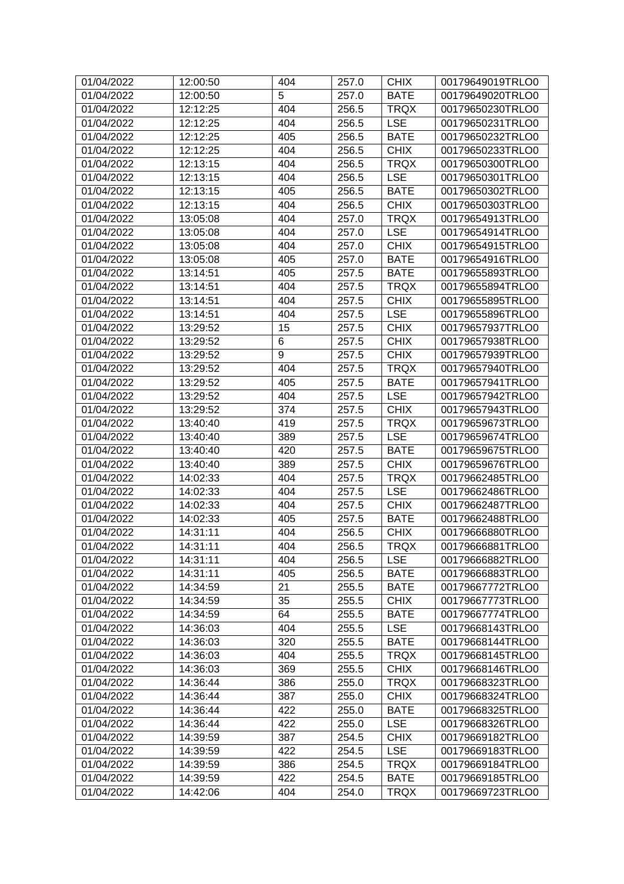| 01/04/2022 | 12:00:50 | 404 | 257.0 | <b>CHIX</b> | 00179649019TRLO0 |
|------------|----------|-----|-------|-------------|------------------|
| 01/04/2022 | 12:00:50 | 5   | 257.0 | <b>BATE</b> | 00179649020TRLO0 |
| 01/04/2022 | 12:12:25 | 404 | 256.5 | <b>TRQX</b> | 00179650230TRLO0 |
| 01/04/2022 | 12:12:25 | 404 | 256.5 | <b>LSE</b>  | 00179650231TRLO0 |
| 01/04/2022 | 12:12:25 | 405 | 256.5 | <b>BATE</b> | 00179650232TRLO0 |
| 01/04/2022 | 12:12:25 | 404 | 256.5 | <b>CHIX</b> | 00179650233TRLO0 |
| 01/04/2022 | 12:13:15 | 404 | 256.5 | <b>TRQX</b> | 00179650300TRLO0 |
| 01/04/2022 | 12:13:15 | 404 | 256.5 | <b>LSE</b>  | 00179650301TRLO0 |
| 01/04/2022 | 12:13:15 | 405 | 256.5 | <b>BATE</b> | 00179650302TRLO0 |
| 01/04/2022 | 12:13:15 | 404 | 256.5 | <b>CHIX</b> | 00179650303TRLO0 |
| 01/04/2022 | 13:05:08 | 404 | 257.0 | <b>TRQX</b> | 00179654913TRLO0 |
| 01/04/2022 | 13:05:08 | 404 | 257.0 | <b>LSE</b>  | 00179654914TRLO0 |
| 01/04/2022 | 13:05:08 | 404 | 257.0 | <b>CHIX</b> | 00179654915TRLO0 |
| 01/04/2022 | 13:05:08 | 405 | 257.0 | <b>BATE</b> | 00179654916TRLO0 |
| 01/04/2022 | 13:14:51 | 405 | 257.5 | <b>BATE</b> | 00179655893TRLO0 |
| 01/04/2022 | 13:14:51 | 404 | 257.5 | <b>TRQX</b> | 00179655894TRLO0 |
| 01/04/2022 | 13:14:51 | 404 | 257.5 | <b>CHIX</b> | 00179655895TRLO0 |
| 01/04/2022 | 13:14:51 | 404 | 257.5 | <b>LSE</b>  | 00179655896TRLO0 |
| 01/04/2022 | 13:29:52 | 15  | 257.5 | <b>CHIX</b> | 00179657937TRLO0 |
| 01/04/2022 | 13:29:52 | 6   | 257.5 | <b>CHIX</b> | 00179657938TRLO0 |
| 01/04/2022 | 13:29:52 | 9   | 257.5 | <b>CHIX</b> | 00179657939TRLO0 |
| 01/04/2022 | 13:29:52 | 404 | 257.5 | <b>TRQX</b> | 00179657940TRLO0 |
| 01/04/2022 | 13:29:52 | 405 | 257.5 | <b>BATE</b> | 00179657941TRLO0 |
| 01/04/2022 | 13:29:52 | 404 | 257.5 | <b>LSE</b>  | 00179657942TRLO0 |
| 01/04/2022 | 13:29:52 | 374 | 257.5 | <b>CHIX</b> | 00179657943TRLO0 |
| 01/04/2022 | 13:40:40 | 419 | 257.5 | <b>TRQX</b> | 00179659673TRLO0 |
| 01/04/2022 | 13:40:40 | 389 | 257.5 | <b>LSE</b>  | 00179659674TRLO0 |
| 01/04/2022 | 13:40:40 | 420 | 257.5 | <b>BATE</b> | 00179659675TRLO0 |
| 01/04/2022 | 13:40:40 | 389 | 257.5 | <b>CHIX</b> | 00179659676TRLO0 |
| 01/04/2022 | 14:02:33 | 404 | 257.5 | <b>TRQX</b> | 00179662485TRLO0 |
| 01/04/2022 | 14:02:33 | 404 | 257.5 | <b>LSE</b>  | 00179662486TRLO0 |
| 01/04/2022 | 14:02:33 | 404 | 257.5 | <b>CHIX</b> | 00179662487TRLO0 |
| 01/04/2022 | 14:02:33 | 405 | 257.5 | <b>BATE</b> | 00179662488TRLO0 |
| 01/04/2022 | 14:31:11 | 404 | 256.5 | <b>CHIX</b> | 00179666880TRLO0 |
| 01/04/2022 | 14:31:11 | 404 | 256.5 | <b>TRQX</b> | 00179666881TRLO0 |
| 01/04/2022 | 14:31:11 | 404 | 256.5 | <b>LSE</b>  | 00179666882TRLO0 |
| 01/04/2022 | 14:31:11 | 405 | 256.5 | <b>BATE</b> | 00179666883TRLO0 |
| 01/04/2022 | 14:34:59 | 21  | 255.5 | <b>BATE</b> | 00179667772TRLO0 |
| 01/04/2022 | 14:34:59 | 35  | 255.5 | <b>CHIX</b> | 00179667773TRLO0 |
| 01/04/2022 | 14:34:59 | 64  | 255.5 | <b>BATE</b> | 00179667774TRLO0 |
| 01/04/2022 | 14:36:03 | 404 | 255.5 | <b>LSE</b>  | 00179668143TRLO0 |
| 01/04/2022 | 14:36:03 | 320 | 255.5 | <b>BATE</b> | 00179668144TRLO0 |
| 01/04/2022 | 14:36:03 | 404 | 255.5 | <b>TRQX</b> | 00179668145TRLO0 |
| 01/04/2022 | 14:36:03 | 369 | 255.5 | <b>CHIX</b> | 00179668146TRLO0 |
| 01/04/2022 | 14:36:44 | 386 | 255.0 | <b>TRQX</b> | 00179668323TRLO0 |
| 01/04/2022 | 14:36:44 | 387 | 255.0 | <b>CHIX</b> | 00179668324TRLO0 |
| 01/04/2022 | 14:36:44 | 422 | 255.0 | <b>BATE</b> | 00179668325TRLO0 |
| 01/04/2022 | 14:36:44 | 422 | 255.0 | <b>LSE</b>  | 00179668326TRLO0 |
| 01/04/2022 | 14:39:59 | 387 | 254.5 | <b>CHIX</b> | 00179669182TRLO0 |
| 01/04/2022 | 14:39:59 | 422 | 254.5 | <b>LSE</b>  | 00179669183TRLO0 |
| 01/04/2022 | 14:39:59 | 386 | 254.5 | <b>TRQX</b> | 00179669184TRLO0 |
| 01/04/2022 | 14:39:59 | 422 | 254.5 | <b>BATE</b> | 00179669185TRLO0 |
| 01/04/2022 | 14:42:06 | 404 | 254.0 | <b>TRQX</b> | 00179669723TRLO0 |
|            |          |     |       |             |                  |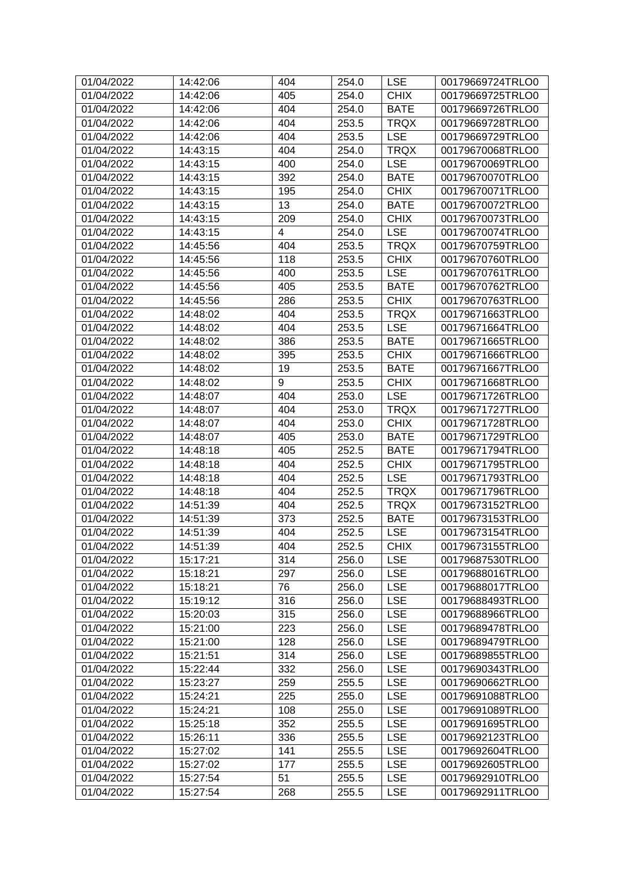| 01/04/2022 | 14:42:06 | 404 | 254.0 | <b>LSE</b>  | 00179669724TRLO0 |
|------------|----------|-----|-------|-------------|------------------|
| 01/04/2022 | 14:42:06 | 405 | 254.0 | <b>CHIX</b> | 00179669725TRLO0 |
| 01/04/2022 | 14:42:06 | 404 | 254.0 | <b>BATE</b> | 00179669726TRLO0 |
| 01/04/2022 | 14:42:06 | 404 | 253.5 | <b>TRQX</b> | 00179669728TRLO0 |
| 01/04/2022 | 14:42:06 | 404 | 253.5 | <b>LSE</b>  | 00179669729TRLO0 |
| 01/04/2022 | 14:43:15 | 404 | 254.0 | <b>TRQX</b> | 00179670068TRLO0 |
| 01/04/2022 | 14:43:15 | 400 | 254.0 | <b>LSE</b>  | 00179670069TRLO0 |
| 01/04/2022 | 14:43:15 | 392 | 254.0 | <b>BATE</b> | 00179670070TRLO0 |
| 01/04/2022 | 14:43:15 | 195 | 254.0 | <b>CHIX</b> | 00179670071TRLO0 |
| 01/04/2022 | 14:43:15 | 13  | 254.0 | <b>BATE</b> | 00179670072TRLO0 |
| 01/04/2022 | 14:43:15 | 209 | 254.0 | <b>CHIX</b> | 00179670073TRLO0 |
| 01/04/2022 | 14:43:15 | 4   | 254.0 | <b>LSE</b>  | 00179670074TRLO0 |
| 01/04/2022 | 14:45:56 | 404 | 253.5 | <b>TRQX</b> | 00179670759TRLO0 |
| 01/04/2022 | 14:45:56 | 118 | 253.5 | <b>CHIX</b> | 00179670760TRLO0 |
| 01/04/2022 | 14:45:56 | 400 | 253.5 | <b>LSE</b>  | 00179670761TRLO0 |
| 01/04/2022 | 14:45:56 | 405 | 253.5 | <b>BATE</b> | 00179670762TRLO0 |
| 01/04/2022 | 14:45:56 | 286 | 253.5 | <b>CHIX</b> | 00179670763TRLO0 |
| 01/04/2022 | 14:48:02 | 404 | 253.5 | <b>TRQX</b> | 00179671663TRLO0 |
| 01/04/2022 | 14:48:02 | 404 | 253.5 | <b>LSE</b>  | 00179671664TRLO0 |
| 01/04/2022 | 14:48:02 | 386 | 253.5 | <b>BATE</b> | 00179671665TRLO0 |
| 01/04/2022 | 14:48:02 | 395 | 253.5 | <b>CHIX</b> | 00179671666TRLO0 |
| 01/04/2022 | 14:48:02 | 19  | 253.5 | <b>BATE</b> | 00179671667TRLO0 |
| 01/04/2022 | 14:48:02 | 9   | 253.5 | <b>CHIX</b> | 00179671668TRLO0 |
| 01/04/2022 | 14:48:07 | 404 | 253.0 | <b>LSE</b>  | 00179671726TRLO0 |
| 01/04/2022 | 14:48:07 | 404 | 253.0 | <b>TRQX</b> | 00179671727TRLO0 |
| 01/04/2022 | 14:48:07 | 404 | 253.0 | <b>CHIX</b> | 00179671728TRLO0 |
| 01/04/2022 | 14:48:07 | 405 | 253.0 | <b>BATE</b> | 00179671729TRLO0 |
| 01/04/2022 | 14:48:18 | 405 | 252.5 | <b>BATE</b> | 00179671794TRLO0 |
| 01/04/2022 | 14:48:18 | 404 | 252.5 | <b>CHIX</b> | 00179671795TRLO0 |
| 01/04/2022 | 14:48:18 | 404 | 252.5 | <b>LSE</b>  | 00179671793TRLO0 |
| 01/04/2022 | 14:48:18 | 404 | 252.5 | <b>TRQX</b> | 00179671796TRLO0 |
| 01/04/2022 | 14:51:39 | 404 | 252.5 | <b>TRQX</b> | 00179673152TRLO0 |
| 01/04/2022 | 14:51:39 | 373 | 252.5 | <b>BATE</b> | 00179673153TRLO0 |
| 01/04/2022 | 14:51:39 | 404 | 252.5 | <b>LSE</b>  | 00179673154TRLO0 |
| 01/04/2022 | 14:51:39 | 404 | 252.5 | <b>CHIX</b> | 00179673155TRLO0 |
| 01/04/2022 | 15:17:21 | 314 | 256.0 | <b>LSE</b>  | 00179687530TRLO0 |
| 01/04/2022 | 15:18:21 | 297 | 256.0 | <b>LSE</b>  | 00179688016TRLO0 |
| 01/04/2022 | 15:18:21 | 76  | 256.0 | <b>LSE</b>  | 00179688017TRLO0 |
| 01/04/2022 | 15:19:12 | 316 | 256.0 | <b>LSE</b>  | 00179688493TRLO0 |
| 01/04/2022 | 15:20:03 | 315 | 256.0 | <b>LSE</b>  | 00179688966TRLO0 |
| 01/04/2022 | 15:21:00 | 223 | 256.0 | <b>LSE</b>  | 00179689478TRLO0 |
| 01/04/2022 | 15:21:00 | 128 | 256.0 | <b>LSE</b>  | 00179689479TRLO0 |
| 01/04/2022 | 15:21:51 | 314 | 256.0 | <b>LSE</b>  | 00179689855TRLO0 |
| 01/04/2022 | 15:22:44 | 332 | 256.0 | <b>LSE</b>  | 00179690343TRLO0 |
| 01/04/2022 | 15:23:27 | 259 | 255.5 | <b>LSE</b>  | 00179690662TRLO0 |
| 01/04/2022 | 15:24:21 | 225 | 255.0 | <b>LSE</b>  | 00179691088TRLO0 |
| 01/04/2022 | 15:24:21 | 108 | 255.0 | <b>LSE</b>  | 00179691089TRLO0 |
| 01/04/2022 | 15:25:18 | 352 | 255.5 | <b>LSE</b>  | 00179691695TRLO0 |
| 01/04/2022 | 15:26:11 | 336 | 255.5 | <b>LSE</b>  | 00179692123TRLO0 |
| 01/04/2022 | 15:27:02 | 141 | 255.5 | <b>LSE</b>  | 00179692604TRLO0 |
| 01/04/2022 | 15:27:02 | 177 | 255.5 | <b>LSE</b>  | 00179692605TRLO0 |
| 01/04/2022 | 15:27:54 | 51  | 255.5 | <b>LSE</b>  | 00179692910TRLO0 |
| 01/04/2022 | 15:27:54 | 268 | 255.5 | <b>LSE</b>  | 00179692911TRLO0 |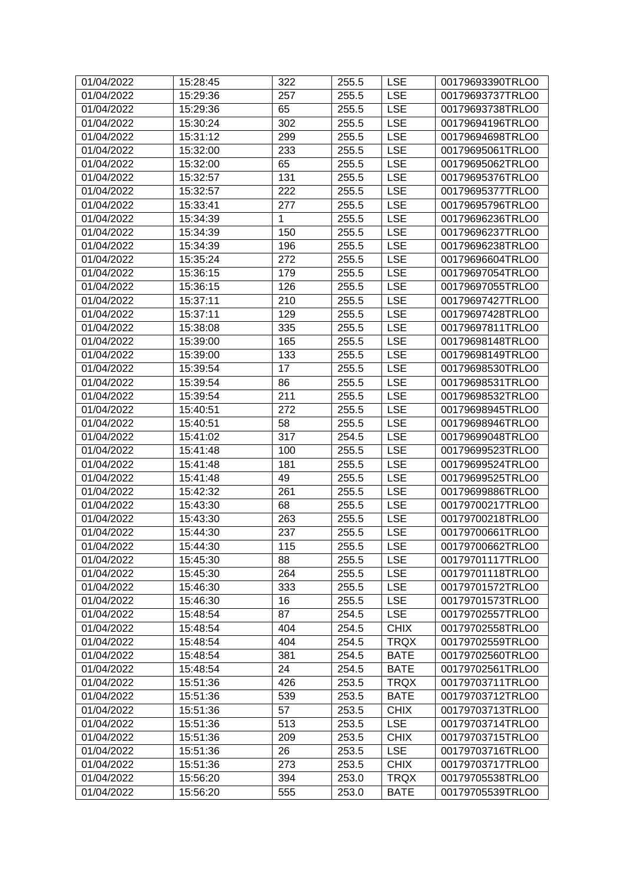| 01/04/2022 | 15:28:45 | 322 | 255.5 | <b>LSE</b>  | 00179693390TRLO0 |
|------------|----------|-----|-------|-------------|------------------|
| 01/04/2022 | 15:29:36 | 257 | 255.5 | <b>LSE</b>  | 00179693737TRLO0 |
| 01/04/2022 | 15:29:36 | 65  | 255.5 | <b>LSE</b>  | 00179693738TRLO0 |
| 01/04/2022 | 15:30:24 | 302 | 255.5 | <b>LSE</b>  | 00179694196TRLO0 |
| 01/04/2022 | 15:31:12 | 299 | 255.5 | <b>LSE</b>  | 00179694698TRLO0 |
| 01/04/2022 | 15:32:00 | 233 | 255.5 | <b>LSE</b>  | 00179695061TRLO0 |
| 01/04/2022 | 15:32:00 | 65  | 255.5 | <b>LSE</b>  | 00179695062TRLO0 |
| 01/04/2022 | 15:32:57 | 131 | 255.5 | <b>LSE</b>  | 00179695376TRLO0 |
| 01/04/2022 | 15:32:57 | 222 | 255.5 | <b>LSE</b>  | 00179695377TRLO0 |
| 01/04/2022 | 15:33:41 | 277 | 255.5 | <b>LSE</b>  | 00179695796TRLO0 |
| 01/04/2022 | 15:34:39 | 1   | 255.5 | <b>LSE</b>  | 00179696236TRLO0 |
| 01/04/2022 | 15:34:39 | 150 | 255.5 | <b>LSE</b>  | 00179696237TRLO0 |
| 01/04/2022 | 15:34:39 | 196 | 255.5 | <b>LSE</b>  | 00179696238TRLO0 |
| 01/04/2022 | 15:35:24 | 272 | 255.5 | <b>LSE</b>  | 00179696604TRLO0 |
| 01/04/2022 | 15:36:15 | 179 | 255.5 | <b>LSE</b>  | 00179697054TRLO0 |
| 01/04/2022 | 15:36:15 | 126 | 255.5 | <b>LSE</b>  | 00179697055TRLO0 |
| 01/04/2022 | 15:37:11 | 210 | 255.5 | <b>LSE</b>  | 00179697427TRLO0 |
| 01/04/2022 | 15:37:11 | 129 | 255.5 | <b>LSE</b>  | 00179697428TRLO0 |
| 01/04/2022 | 15:38:08 | 335 | 255.5 | <b>LSE</b>  | 00179697811TRLO0 |
| 01/04/2022 | 15:39:00 | 165 | 255.5 | <b>LSE</b>  | 00179698148TRLO0 |
| 01/04/2022 | 15:39:00 | 133 | 255.5 | <b>LSE</b>  | 00179698149TRLO0 |
| 01/04/2022 | 15:39:54 | 17  | 255.5 | <b>LSE</b>  | 00179698530TRLO0 |
| 01/04/2022 | 15:39:54 | 86  | 255.5 | <b>LSE</b>  | 00179698531TRLO0 |
| 01/04/2022 | 15:39:54 | 211 | 255.5 | <b>LSE</b>  | 00179698532TRLO0 |
| 01/04/2022 | 15:40:51 | 272 | 255.5 | <b>LSE</b>  | 00179698945TRLO0 |
| 01/04/2022 | 15:40:51 | 58  | 255.5 | <b>LSE</b>  | 00179698946TRLO0 |
| 01/04/2022 | 15:41:02 | 317 | 254.5 | <b>LSE</b>  | 00179699048TRLO0 |
| 01/04/2022 | 15:41:48 | 100 | 255.5 | <b>LSE</b>  | 00179699523TRLO0 |
| 01/04/2022 | 15:41:48 | 181 | 255.5 | <b>LSE</b>  | 00179699524TRLO0 |
| 01/04/2022 | 15:41:48 | 49  | 255.5 | <b>LSE</b>  | 00179699525TRLO0 |
| 01/04/2022 | 15:42:32 | 261 | 255.5 | <b>LSE</b>  | 00179699886TRLO0 |
| 01/04/2022 | 15:43:30 | 68  | 255.5 | <b>LSE</b>  | 00179700217TRLO0 |
| 01/04/2022 | 15:43:30 | 263 | 255.5 | <b>LSE</b>  | 00179700218TRLO0 |
| 01/04/2022 | 15:44:30 | 237 | 255.5 | <b>LSE</b>  | 00179700661TRLO0 |
| 01/04/2022 | 15:44:30 | 115 | 255.5 | <b>LSE</b>  | 00179700662TRLO0 |
| 01/04/2022 | 15:45:30 | 88  | 255.5 | <b>LSE</b>  | 00179701117TRLO0 |
| 01/04/2022 | 15:45:30 | 264 | 255.5 | <b>LSE</b>  | 00179701118TRLO0 |
| 01/04/2022 | 15:46:30 | 333 | 255.5 | <b>LSE</b>  | 00179701572TRLO0 |
| 01/04/2022 | 15:46:30 | 16  | 255.5 | <b>LSE</b>  | 00179701573TRLO0 |
| 01/04/2022 | 15:48:54 | 87  | 254.5 | <b>LSE</b>  | 00179702557TRLO0 |
| 01/04/2022 | 15:48:54 | 404 | 254.5 | <b>CHIX</b> | 00179702558TRLO0 |
| 01/04/2022 | 15:48:54 | 404 | 254.5 | <b>TRQX</b> | 00179702559TRLO0 |
| 01/04/2022 | 15:48:54 | 381 | 254.5 | <b>BATE</b> | 00179702560TRLO0 |
| 01/04/2022 | 15:48:54 | 24  | 254.5 | <b>BATE</b> | 00179702561TRLO0 |
| 01/04/2022 | 15:51:36 | 426 | 253.5 | <b>TRQX</b> | 00179703711TRLO0 |
| 01/04/2022 | 15:51:36 | 539 | 253.5 | <b>BATE</b> | 00179703712TRLO0 |
| 01/04/2022 | 15:51:36 | 57  | 253.5 | <b>CHIX</b> | 00179703713TRLO0 |
| 01/04/2022 | 15:51:36 | 513 | 253.5 | <b>LSE</b>  | 00179703714TRLO0 |
| 01/04/2022 | 15:51:36 | 209 | 253.5 | <b>CHIX</b> | 00179703715TRLO0 |
| 01/04/2022 | 15:51:36 | 26  | 253.5 | <b>LSE</b>  | 00179703716TRLO0 |
| 01/04/2022 | 15:51:36 | 273 | 253.5 | <b>CHIX</b> | 00179703717TRLO0 |
| 01/04/2022 | 15:56:20 | 394 | 253.0 | <b>TRQX</b> | 00179705538TRLO0 |
| 01/04/2022 | 15:56:20 | 555 | 253.0 | <b>BATE</b> | 00179705539TRLO0 |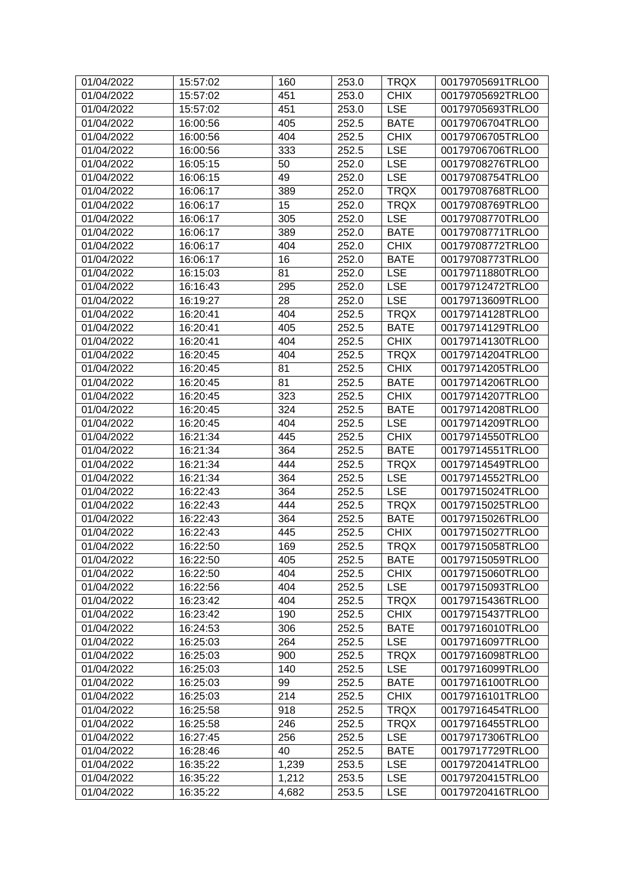| 01/04/2022 | 15:57:02 | 160   | 253.0 | <b>TRQX</b> | 00179705691TRLO0 |
|------------|----------|-------|-------|-------------|------------------|
| 01/04/2022 | 15:57:02 | 451   | 253.0 | <b>CHIX</b> | 00179705692TRLO0 |
| 01/04/2022 | 15:57:02 | 451   | 253.0 | <b>LSE</b>  | 00179705693TRLO0 |
| 01/04/2022 | 16:00:56 | 405   | 252.5 | <b>BATE</b> | 00179706704TRLO0 |
| 01/04/2022 | 16:00:56 | 404   | 252.5 | <b>CHIX</b> | 00179706705TRLO0 |
| 01/04/2022 | 16:00:56 | 333   | 252.5 | <b>LSE</b>  | 00179706706TRLO0 |
| 01/04/2022 | 16:05:15 | 50    | 252.0 | <b>LSE</b>  | 00179708276TRLO0 |
| 01/04/2022 | 16:06:15 | 49    | 252.0 | <b>LSE</b>  | 00179708754TRLO0 |
| 01/04/2022 | 16:06:17 | 389   | 252.0 | <b>TRQX</b> | 00179708768TRLO0 |
| 01/04/2022 | 16:06:17 | 15    | 252.0 | <b>TRQX</b> | 00179708769TRLO0 |
| 01/04/2022 | 16:06:17 | 305   | 252.0 | <b>LSE</b>  | 00179708770TRLO0 |
| 01/04/2022 | 16:06:17 | 389   | 252.0 | <b>BATE</b> | 00179708771TRLO0 |
| 01/04/2022 | 16:06:17 | 404   | 252.0 | <b>CHIX</b> | 00179708772TRLO0 |
| 01/04/2022 | 16:06:17 | 16    | 252.0 | <b>BATE</b> | 00179708773TRLO0 |
| 01/04/2022 | 16:15:03 | 81    | 252.0 | <b>LSE</b>  | 00179711880TRLO0 |
| 01/04/2022 | 16:16:43 | 295   | 252.0 | <b>LSE</b>  | 00179712472TRLO0 |
| 01/04/2022 | 16:19:27 | 28    | 252.0 | <b>LSE</b>  | 00179713609TRLO0 |
| 01/04/2022 | 16:20:41 | 404   | 252.5 | <b>TRQX</b> | 00179714128TRLO0 |
| 01/04/2022 | 16:20:41 | 405   | 252.5 | <b>BATE</b> | 00179714129TRLO0 |
| 01/04/2022 | 16:20:41 | 404   | 252.5 | <b>CHIX</b> | 00179714130TRLO0 |
| 01/04/2022 | 16:20:45 | 404   | 252.5 | <b>TRQX</b> | 00179714204TRLO0 |
| 01/04/2022 | 16:20:45 | 81    | 252.5 | <b>CHIX</b> | 00179714205TRLO0 |
| 01/04/2022 | 16:20:45 | 81    | 252.5 | <b>BATE</b> | 00179714206TRLO0 |
| 01/04/2022 | 16:20:45 | 323   | 252.5 | <b>CHIX</b> | 00179714207TRLO0 |
| 01/04/2022 | 16:20:45 | 324   | 252.5 | <b>BATE</b> | 00179714208TRLO0 |
| 01/04/2022 | 16:20:45 | 404   | 252.5 | <b>LSE</b>  | 00179714209TRLO0 |
| 01/04/2022 | 16:21:34 | 445   | 252.5 | <b>CHIX</b> | 00179714550TRLO0 |
| 01/04/2022 | 16:21:34 | 364   | 252.5 | <b>BATE</b> | 00179714551TRLO0 |
| 01/04/2022 | 16:21:34 | 444   | 252.5 | <b>TRQX</b> | 00179714549TRLO0 |
| 01/04/2022 | 16:21:34 | 364   | 252.5 | <b>LSE</b>  | 00179714552TRLO0 |
| 01/04/2022 | 16:22:43 | 364   | 252.5 | <b>LSE</b>  | 00179715024TRLO0 |
| 01/04/2022 | 16:22:43 | 444   | 252.5 | <b>TRQX</b> | 00179715025TRLO0 |
| 01/04/2022 | 16:22:43 | 364   | 252.5 | <b>BATE</b> | 00179715026TRLO0 |
| 01/04/2022 | 16:22:43 | 445   | 252.5 | <b>CHIX</b> | 00179715027TRLO0 |
| 01/04/2022 | 16:22:50 | 169   | 252.5 | <b>TRQX</b> | 00179715058TRLO0 |
| 01/04/2022 | 16:22:50 | 405   | 252.5 | <b>BATE</b> | 00179715059TRLO0 |
| 01/04/2022 | 16:22:50 | 404   | 252.5 | <b>CHIX</b> | 00179715060TRLO0 |
| 01/04/2022 | 16:22:56 | 404   | 252.5 | <b>LSE</b>  | 00179715093TRLO0 |
| 01/04/2022 | 16:23:42 | 404   | 252.5 | <b>TRQX</b> | 00179715436TRLO0 |
| 01/04/2022 | 16:23:42 | 190   | 252.5 | <b>CHIX</b> | 00179715437TRLO0 |
| 01/04/2022 | 16:24:53 | 306   | 252.5 | <b>BATE</b> | 00179716010TRLO0 |
| 01/04/2022 | 16:25:03 | 264   | 252.5 | <b>LSE</b>  | 00179716097TRLO0 |
| 01/04/2022 | 16:25:03 | 900   | 252.5 | <b>TRQX</b> | 00179716098TRLO0 |
| 01/04/2022 | 16:25:03 | 140   | 252.5 | <b>LSE</b>  | 00179716099TRLO0 |
| 01/04/2022 | 16:25:03 | 99    | 252.5 | <b>BATE</b> | 00179716100TRLO0 |
| 01/04/2022 | 16:25:03 | 214   | 252.5 | <b>CHIX</b> | 00179716101TRLO0 |
| 01/04/2022 | 16:25:58 | 918   | 252.5 | <b>TRQX</b> | 00179716454TRLO0 |
| 01/04/2022 | 16:25:58 | 246   | 252.5 | <b>TRQX</b> | 00179716455TRLO0 |
| 01/04/2022 | 16:27:45 | 256   | 252.5 | <b>LSE</b>  | 00179717306TRLO0 |
| 01/04/2022 | 16:28:46 | 40    | 252.5 | <b>BATE</b> | 00179717729TRLO0 |
| 01/04/2022 | 16:35:22 | 1,239 | 253.5 | <b>LSE</b>  | 00179720414TRLO0 |
| 01/04/2022 | 16:35:22 | 1,212 | 253.5 | <b>LSE</b>  | 00179720415TRLO0 |
| 01/04/2022 | 16:35:22 | 4,682 | 253.5 | <b>LSE</b>  | 00179720416TRLO0 |